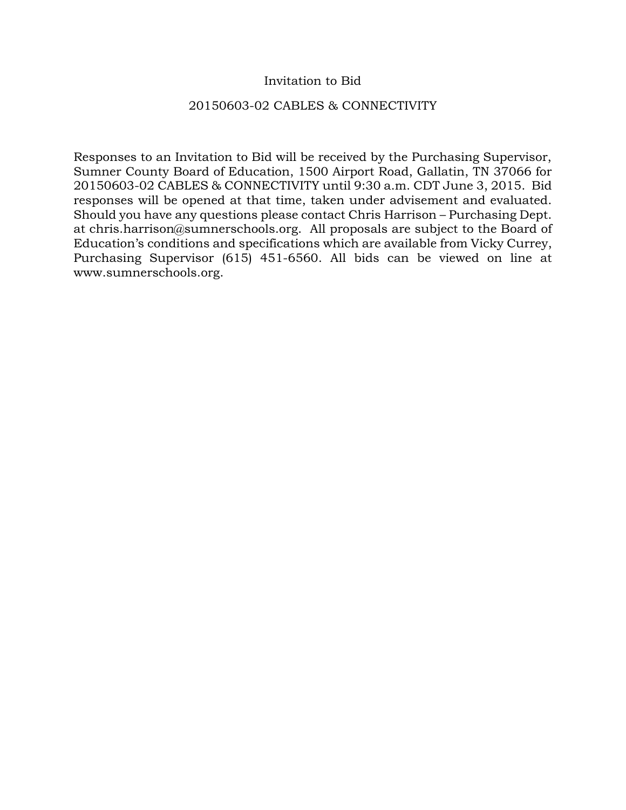# Invitation to Bid

#### 20150603-02 CABLES & CONNECTIVITY

Responses to an Invitation to Bid will be received by the Purchasing Supervisor, Sumner County Board of Education, 1500 Airport Road, Gallatin, TN 37066 for 20150603-02 CABLES & CONNECTIVITY until 9:30 a.m. CDT June 3, 2015. Bid responses will be opened at that time, taken under advisement and evaluated. Should you have any questions please contact Chris Harrison – Purchasing Dept. at chris.harrison@sumnerschools.org. All proposals are subject to the Board of Education's conditions and specifications which are available from Vicky Currey, Purchasing Supervisor (615) 451-6560. All bids can be viewed on line at www.sumnerschools.org.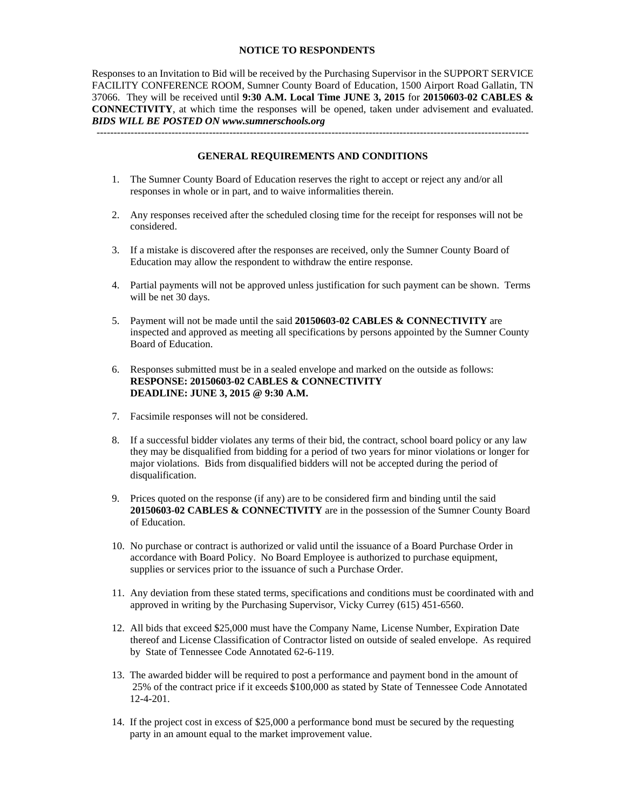#### **NOTICE TO RESPONDENTS**

Responses to an Invitation to Bid will be received by the Purchasing Supervisor in the SUPPORT SERVICE FACILITY CONFERENCE ROOM, Sumner County Board of Education, 1500 Airport Road Gallatin, TN 37066. They will be received until **9:30 A.M. Local Time JUNE 3, 2015** for **20150603-02 CABLES & CONNECTIVITY**, at which time the responses will be opened, taken under advisement and evaluated. *BIDS WILL BE POSTED ON www.sumnerschools.org* 

**GENERAL REQUIREMENTS AND CONDITIONS** 

-------------------------------------------------------------------------------------------------------------------------------

- 1. The Sumner County Board of Education reserves the right to accept or reject any and/or all responses in whole or in part, and to waive informalities therein.
- 2. Any responses received after the scheduled closing time for the receipt for responses will not be considered.
- 3. If a mistake is discovered after the responses are received, only the Sumner County Board of Education may allow the respondent to withdraw the entire response.
- 4. Partial payments will not be approved unless justification for such payment can be shown. Terms will be net 30 days.
- 5. Payment will not be made until the said **20150603-02 CABLES & CONNECTIVITY** are inspected and approved as meeting all specifications by persons appointed by the Sumner County Board of Education.
- 6. Responses submitted must be in a sealed envelope and marked on the outside as follows: **RESPONSE: 20150603-02 CABLES & CONNECTIVITY DEADLINE: JUNE 3, 2015 @ 9:30 A.M.**
- 7. Facsimile responses will not be considered.
- 8. If a successful bidder violates any terms of their bid, the contract, school board policy or any law they may be disqualified from bidding for a period of two years for minor violations or longer for major violations. Bids from disqualified bidders will not be accepted during the period of disqualification.
- 9. Prices quoted on the response (if any) are to be considered firm and binding until the said **20150603-02 CABLES & CONNECTIVITY** are in the possession of the Sumner County Board of Education.
- 10. No purchase or contract is authorized or valid until the issuance of a Board Purchase Order in accordance with Board Policy. No Board Employee is authorized to purchase equipment, supplies or services prior to the issuance of such a Purchase Order.
- 11. Any deviation from these stated terms, specifications and conditions must be coordinated with and approved in writing by the Purchasing Supervisor, Vicky Currey (615) 451-6560.
- 12. All bids that exceed \$25,000 must have the Company Name, License Number, Expiration Date thereof and License Classification of Contractor listed on outside of sealed envelope. As required by State of Tennessee Code Annotated 62-6-119.
- 13. The awarded bidder will be required to post a performance and payment bond in the amount of 25% of the contract price if it exceeds \$100,000 as stated by State of Tennessee Code Annotated 12-4-201.
- 14. If the project cost in excess of \$25,000 a performance bond must be secured by the requesting party in an amount equal to the market improvement value.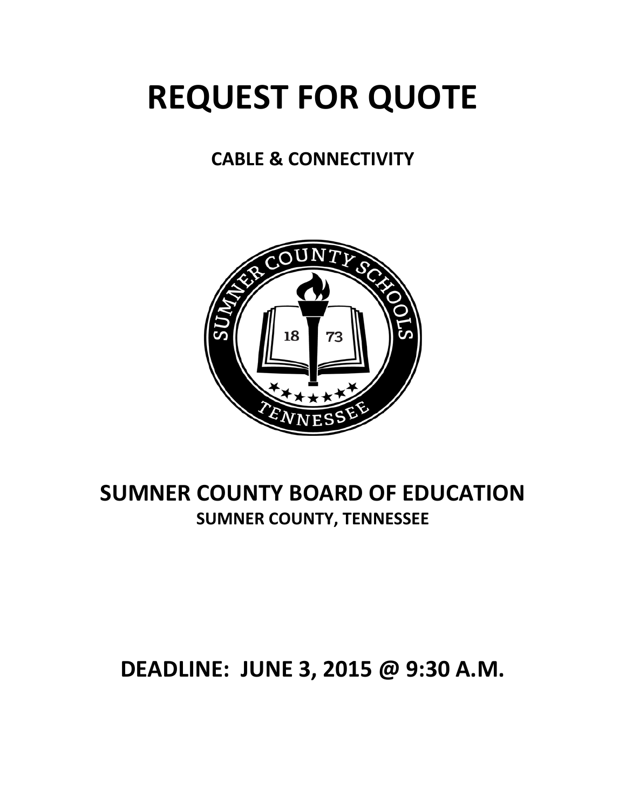# **REQUEST FOR QUOTE**

# **CABLE & CONNECTIVITY**



# **SUMNER COUNTY BOARD OF EDUCATION SUMNER COUNTY, TENNESSEE**

# **DEADLINE: JUNE 3, 2015 @ 9:30 A.M.**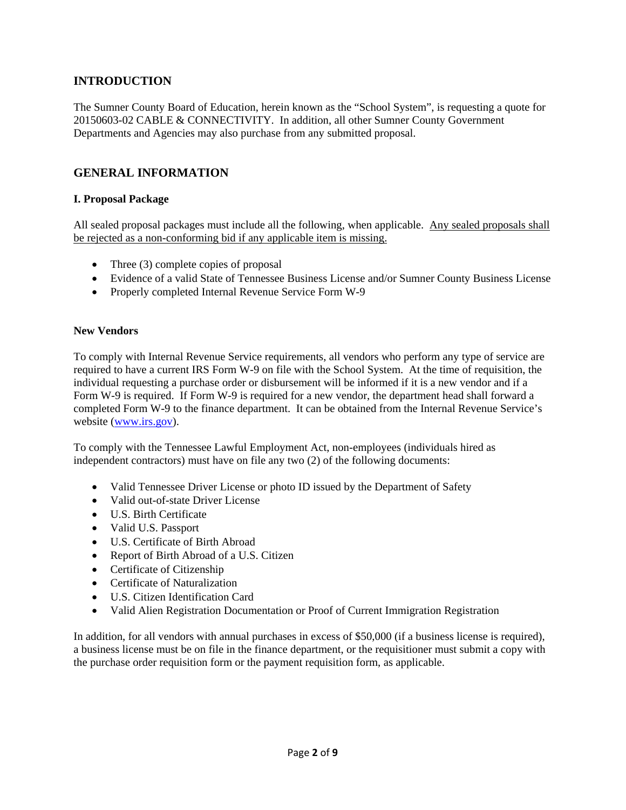# **INTRODUCTION**

The Sumner County Board of Education, herein known as the "School System", is requesting a quote for 20150603-02 CABLE & CONNECTIVITY. In addition, all other Sumner County Government Departments and Agencies may also purchase from any submitted proposal.

# **GENERAL INFORMATION**

# **I. Proposal Package**

All sealed proposal packages must include all the following, when applicable. Any sealed proposals shall be rejected as a non-conforming bid if any applicable item is missing.

- Three (3) complete copies of proposal
- Evidence of a valid State of Tennessee Business License and/or Sumner County Business License
- Properly completed Internal Revenue Service Form W-9

#### **New Vendors**

To comply with Internal Revenue Service requirements, all vendors who perform any type of service are required to have a current IRS Form W-9 on file with the School System. At the time of requisition, the individual requesting a purchase order or disbursement will be informed if it is a new vendor and if a Form W-9 is required. If Form W-9 is required for a new vendor, the department head shall forward a completed Form W-9 to the finance department. It can be obtained from the Internal Revenue Service's website (www.irs.gov).

To comply with the Tennessee Lawful Employment Act, non-employees (individuals hired as independent contractors) must have on file any two (2) of the following documents:

- Valid Tennessee Driver License or photo ID issued by the Department of Safety
- Valid out-of-state Driver License
- U.S. Birth Certificate
- Valid U.S. Passport
- U.S. Certificate of Birth Abroad
- Report of Birth Abroad of a U.S. Citizen
- Certificate of Citizenship
- Certificate of Naturalization
- U.S. Citizen Identification Card
- Valid Alien Registration Documentation or Proof of Current Immigration Registration

In addition, for all vendors with annual purchases in excess of \$50,000 (if a business license is required), a business license must be on file in the finance department, or the requisitioner must submit a copy with the purchase order requisition form or the payment requisition form, as applicable.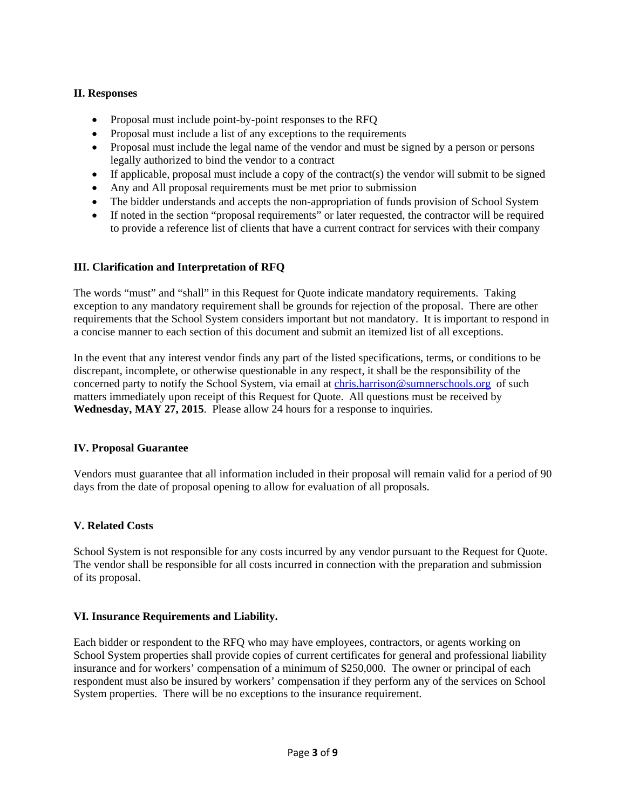# **II. Responses**

- Proposal must include point-by-point responses to the RFQ
- Proposal must include a list of any exceptions to the requirements
- Proposal must include the legal name of the vendor and must be signed by a person or persons legally authorized to bind the vendor to a contract
- If applicable, proposal must include a copy of the contract(s) the vendor will submit to be signed
- Any and All proposal requirements must be met prior to submission
- The bidder understands and accepts the non-appropriation of funds provision of School System
- If noted in the section "proposal requirements" or later requested, the contractor will be required to provide a reference list of clients that have a current contract for services with their company

# **III. Clarification and Interpretation of RFQ**

The words "must" and "shall" in this Request for Quote indicate mandatory requirements. Taking exception to any mandatory requirement shall be grounds for rejection of the proposal. There are other requirements that the School System considers important but not mandatory. It is important to respond in a concise manner to each section of this document and submit an itemized list of all exceptions.

In the event that any interest vendor finds any part of the listed specifications, terms, or conditions to be discrepant, incomplete, or otherwise questionable in any respect, it shall be the responsibility of the concerned party to notify the School System, via email at chris.harrison@sumnerschools.org of such matters immediately upon receipt of this Request for Quote. All questions must be received by **Wednesday, MAY 27, 2015**. Please allow 24 hours for a response to inquiries.

# **IV. Proposal Guarantee**

Vendors must guarantee that all information included in their proposal will remain valid for a period of 90 days from the date of proposal opening to allow for evaluation of all proposals.

# **V. Related Costs**

School System is not responsible for any costs incurred by any vendor pursuant to the Request for Quote. The vendor shall be responsible for all costs incurred in connection with the preparation and submission of its proposal.

# **VI. Insurance Requirements and Liability.**

Each bidder or respondent to the RFQ who may have employees, contractors, or agents working on School System properties shall provide copies of current certificates for general and professional liability insurance and for workers' compensation of a minimum of \$250,000. The owner or principal of each respondent must also be insured by workers' compensation if they perform any of the services on School System properties. There will be no exceptions to the insurance requirement.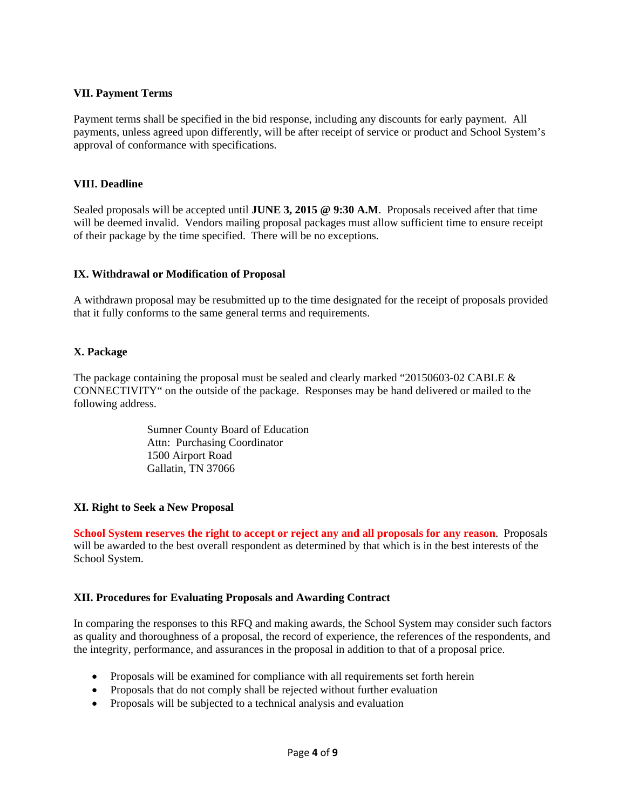#### **VII. Payment Terms**

Payment terms shall be specified in the bid response, including any discounts for early payment. All payments, unless agreed upon differently, will be after receipt of service or product and School System's approval of conformance with specifications.

#### **VIII. Deadline**

Sealed proposals will be accepted until **JUNE 3, 2015 @ 9:30 A.M**. Proposals received after that time will be deemed invalid. Vendors mailing proposal packages must allow sufficient time to ensure receipt of their package by the time specified. There will be no exceptions.

#### **IX. Withdrawal or Modification of Proposal**

A withdrawn proposal may be resubmitted up to the time designated for the receipt of proposals provided that it fully conforms to the same general terms and requirements.

#### **X. Package**

The package containing the proposal must be sealed and clearly marked "20150603-02 CABLE & CONNECTIVITY" on the outside of the package. Responses may be hand delivered or mailed to the following address.

> Sumner County Board of Education Attn: Purchasing Coordinator 1500 Airport Road Gallatin, TN 37066

#### **XI. Right to Seek a New Proposal**

**School System reserves the right to accept or reject any and all proposals for any reason**. Proposals will be awarded to the best overall respondent as determined by that which is in the best interests of the School System.

#### **XII. Procedures for Evaluating Proposals and Awarding Contract**

In comparing the responses to this RFQ and making awards, the School System may consider such factors as quality and thoroughness of a proposal, the record of experience, the references of the respondents, and the integrity, performance, and assurances in the proposal in addition to that of a proposal price.

- Proposals will be examined for compliance with all requirements set forth herein
- Proposals that do not comply shall be rejected without further evaluation
- Proposals will be subjected to a technical analysis and evaluation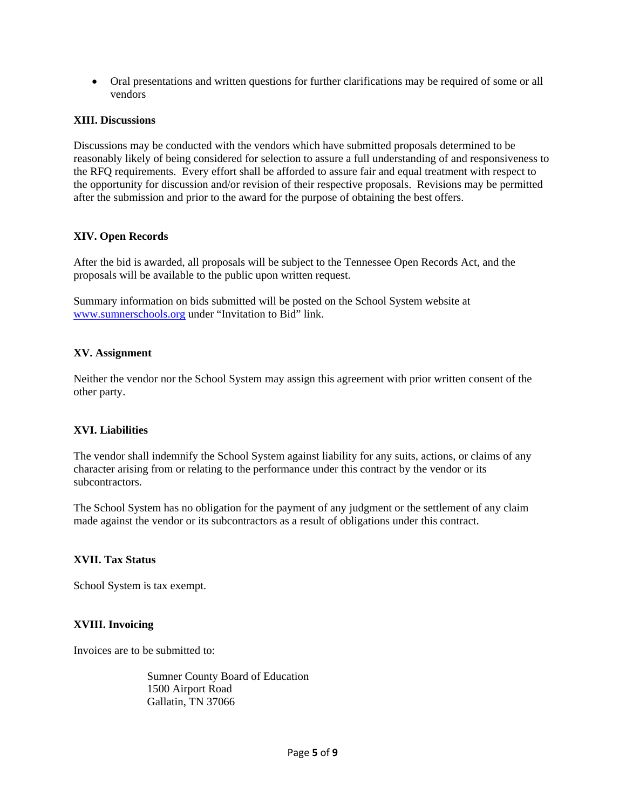Oral presentations and written questions for further clarifications may be required of some or all vendors

#### **XIII. Discussions**

Discussions may be conducted with the vendors which have submitted proposals determined to be reasonably likely of being considered for selection to assure a full understanding of and responsiveness to the RFQ requirements. Every effort shall be afforded to assure fair and equal treatment with respect to the opportunity for discussion and/or revision of their respective proposals. Revisions may be permitted after the submission and prior to the award for the purpose of obtaining the best offers.

# **XIV. Open Records**

After the bid is awarded, all proposals will be subject to the Tennessee Open Records Act, and the proposals will be available to the public upon written request.

Summary information on bids submitted will be posted on the School System website at www.sumnerschools.org under "Invitation to Bid" link.

#### **XV. Assignment**

Neither the vendor nor the School System may assign this agreement with prior written consent of the other party.

#### **XVI. Liabilities**

The vendor shall indemnify the School System against liability for any suits, actions, or claims of any character arising from or relating to the performance under this contract by the vendor or its subcontractors.

The School System has no obligation for the payment of any judgment or the settlement of any claim made against the vendor or its subcontractors as a result of obligations under this contract.

#### **XVII. Tax Status**

School System is tax exempt.

#### **XVIII. Invoicing**

Invoices are to be submitted to:

 Sumner County Board of Education 1500 Airport Road Gallatin, TN 37066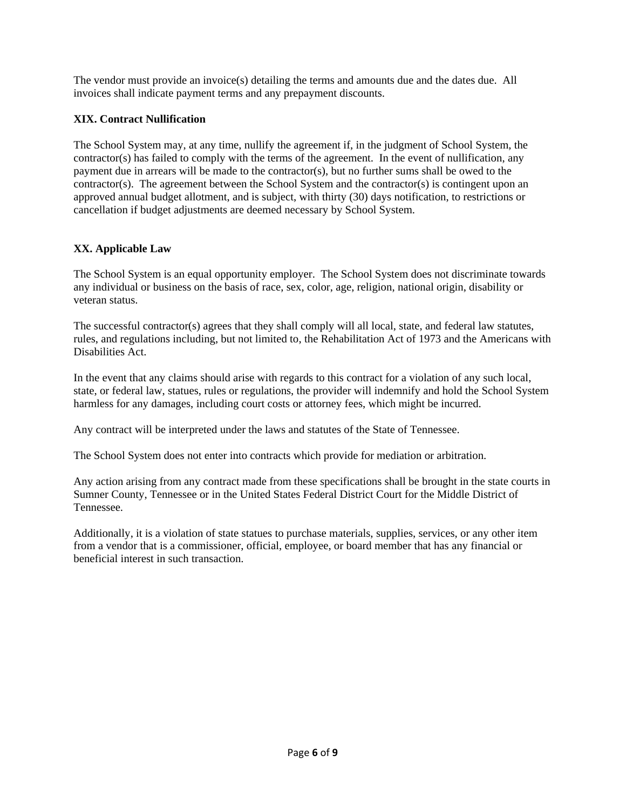The vendor must provide an invoice(s) detailing the terms and amounts due and the dates due. All invoices shall indicate payment terms and any prepayment discounts.

# **XIX. Contract Nullification**

The School System may, at any time, nullify the agreement if, in the judgment of School System, the contractor(s) has failed to comply with the terms of the agreement. In the event of nullification, any payment due in arrears will be made to the contractor(s), but no further sums shall be owed to the contractor(s). The agreement between the School System and the contractor(s) is contingent upon an approved annual budget allotment, and is subject, with thirty (30) days notification, to restrictions or cancellation if budget adjustments are deemed necessary by School System.

# **XX. Applicable Law**

The School System is an equal opportunity employer. The School System does not discriminate towards any individual or business on the basis of race, sex, color, age, religion, national origin, disability or veteran status.

The successful contractor(s) agrees that they shall comply will all local, state, and federal law statutes, rules, and regulations including, but not limited to, the Rehabilitation Act of 1973 and the Americans with Disabilities Act.

In the event that any claims should arise with regards to this contract for a violation of any such local, state, or federal law, statues, rules or regulations, the provider will indemnify and hold the School System harmless for any damages, including court costs or attorney fees, which might be incurred.

Any contract will be interpreted under the laws and statutes of the State of Tennessee.

The School System does not enter into contracts which provide for mediation or arbitration.

Any action arising from any contract made from these specifications shall be brought in the state courts in Sumner County, Tennessee or in the United States Federal District Court for the Middle District of Tennessee.

Additionally, it is a violation of state statues to purchase materials, supplies, services, or any other item from a vendor that is a commissioner, official, employee, or board member that has any financial or beneficial interest in such transaction.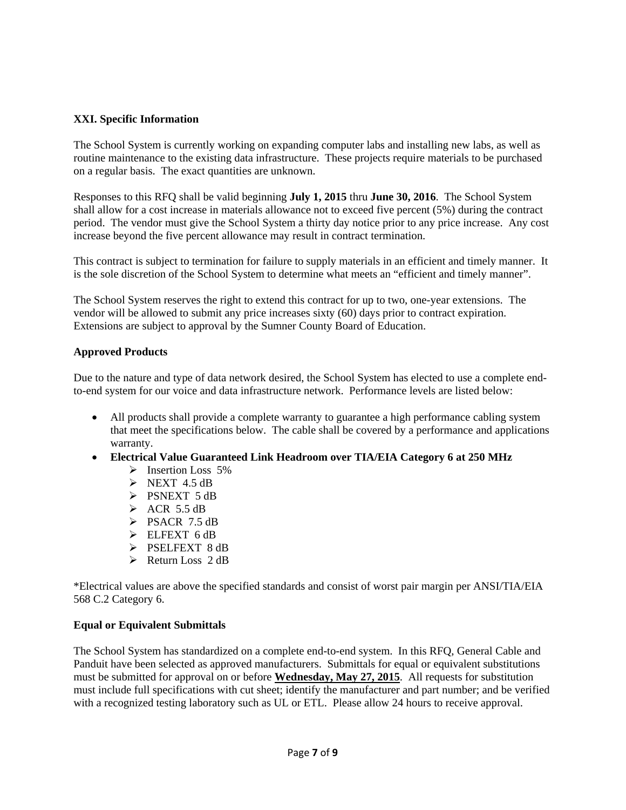# **XXI. Specific Information**

The School System is currently working on expanding computer labs and installing new labs, as well as routine maintenance to the existing data infrastructure. These projects require materials to be purchased on a regular basis. The exact quantities are unknown.

Responses to this RFQ shall be valid beginning **July 1, 2015** thru **June 30, 2016**. The School System shall allow for a cost increase in materials allowance not to exceed five percent (5%) during the contract period. The vendor must give the School System a thirty day notice prior to any price increase. Any cost increase beyond the five percent allowance may result in contract termination.

This contract is subject to termination for failure to supply materials in an efficient and timely manner. It is the sole discretion of the School System to determine what meets an "efficient and timely manner".

The School System reserves the right to extend this contract for up to two, one-year extensions. The vendor will be allowed to submit any price increases sixty (60) days prior to contract expiration. Extensions are subject to approval by the Sumner County Board of Education.

#### **Approved Products**

Due to the nature and type of data network desired, the School System has elected to use a complete endto-end system for our voice and data infrastructure network. Performance levels are listed below:

- All products shall provide a complete warranty to guarantee a high performance cabling system that meet the specifications below. The cable shall be covered by a performance and applications warranty.
- **Electrical Value Guaranteed Link Headroom over TIA/EIA Category 6 at 250 MHz** 
	- $\triangleright$  Insertion Loss 5%
	- $\triangleright$  NEXT 4.5 dB
	- $\triangleright$  PSNEXT 5 dB
	- $\triangleright$  ACR 5.5 dB
	- $\triangleright$  PSACR 7.5 dB
	- $\triangleright$  ELFEXT 6 dB
	- > PSELFEXT 8 dB
	- $\triangleright$  Return Loss 2 dB

\*Electrical values are above the specified standards and consist of worst pair margin per ANSI/TIA/EIA 568 C.2 Category 6.

#### **Equal or Equivalent Submittals**

The School System has standardized on a complete end-to-end system. In this RFQ, General Cable and Panduit have been selected as approved manufacturers. Submittals for equal or equivalent substitutions must be submitted for approval on or before **Wednesday, May 27, 2015**. All requests for substitution must include full specifications with cut sheet; identify the manufacturer and part number; and be verified with a recognized testing laboratory such as UL or ETL. Please allow 24 hours to receive approval.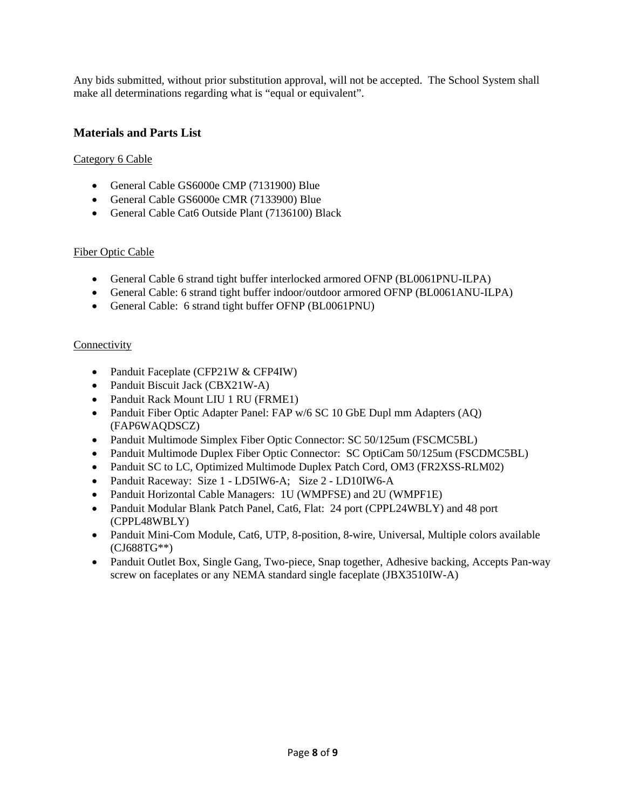Any bids submitted, without prior substitution approval, will not be accepted. The School System shall make all determinations regarding what is "equal or equivalent".

# **Materials and Parts List**

# Category 6 Cable

- General Cable GS6000e CMP (7131900) Blue
- General Cable GS6000e CMR (7133900) Blue
- General Cable Cat6 Outside Plant (7136100) Black

#### Fiber Optic Cable

- General Cable 6 strand tight buffer interlocked armored OFNP (BL0061PNU-ILPA)
- General Cable: 6 strand tight buffer indoor/outdoor armored OFNP (BL0061ANU-ILPA)
- General Cable: 6 strand tight buffer OFNP (BL0061PNU)

#### **Connectivity**

- Panduit Faceplate (CFP21W & CFP4IW)
- Panduit Biscuit Jack (CBX21W-A)
- Panduit Rack Mount LIU 1 RU (FRME1)
- Panduit Fiber Optic Adapter Panel: FAP w/6 SC 10 GbE Dupl mm Adapters (AQ) (FAP6WAQDSCZ)
- Panduit Multimode Simplex Fiber Optic Connector: SC 50/125um (FSCMC5BL)
- Panduit Multimode Duplex Fiber Optic Connector: SC OptiCam 50/125um (FSCDMC5BL)
- Panduit SC to LC, Optimized Multimode Duplex Patch Cord, OM3 (FR2XSS-RLM02)
- Panduit Raceway: Size 1 LD5IW6-A; Size 2 LD10IW6-A
- Panduit Horizontal Cable Managers: 1U (WMPFSE) and 2U (WMPF1E)
- Panduit Modular Blank Patch Panel, Cat6, Flat: 24 port (CPPL24WBLY) and 48 port (CPPL48WBLY)
- Panduit Mini-Com Module, Cat6, UTP, 8-position, 8-wire, Universal, Multiple colors available (CJ688TG\*\*)
- Panduit Outlet Box, Single Gang, Two-piece, Snap together, Adhesive backing, Accepts Pan-way screw on faceplates or any NEMA standard single faceplate (JBX3510IW-A)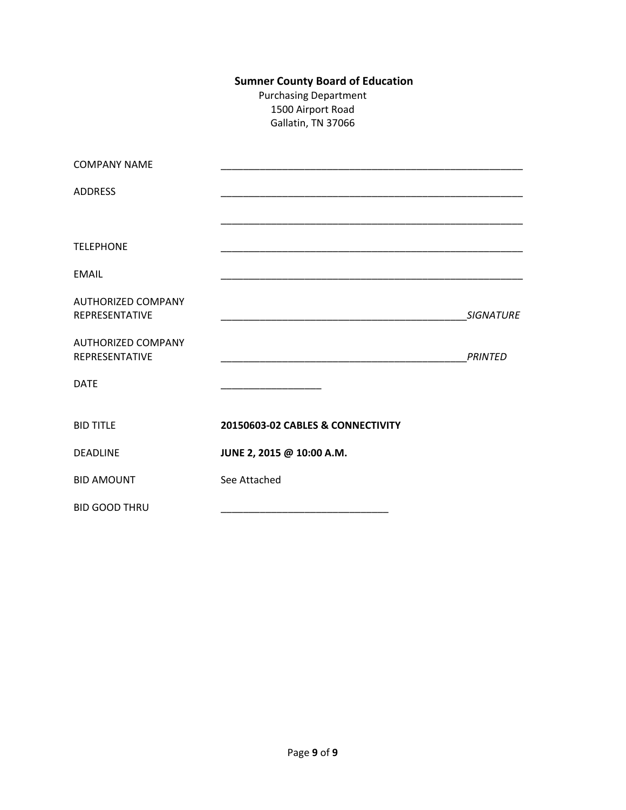# **Sumner County Board of Education**

Purchasing Department 1500 Airport Road Gallatin, TN 37066

| <b>COMPANY NAME</b>                                |                                   |                  |
|----------------------------------------------------|-----------------------------------|------------------|
| <b>ADDRESS</b>                                     |                                   |                  |
|                                                    |                                   |                  |
| <b>TELEPHONE</b>                                   |                                   |                  |
| <b>EMAIL</b>                                       |                                   |                  |
| <b>AUTHORIZED COMPANY</b><br><b>REPRESENTATIVE</b> |                                   | <b>SIGNATURE</b> |
| <b>AUTHORIZED COMPANY</b><br>REPRESENTATIVE        |                                   | <b>PRINTED</b>   |
| <b>DATE</b>                                        |                                   |                  |
| <b>BID TITLE</b>                                   | 20150603-02 CABLES & CONNECTIVITY |                  |
| <b>DEADLINE</b>                                    | JUNE 2, 2015 @ 10:00 A.M.         |                  |
| <b>BID AMOUNT</b>                                  | See Attached                      |                  |
| <b>BID GOOD THRU</b>                               |                                   |                  |